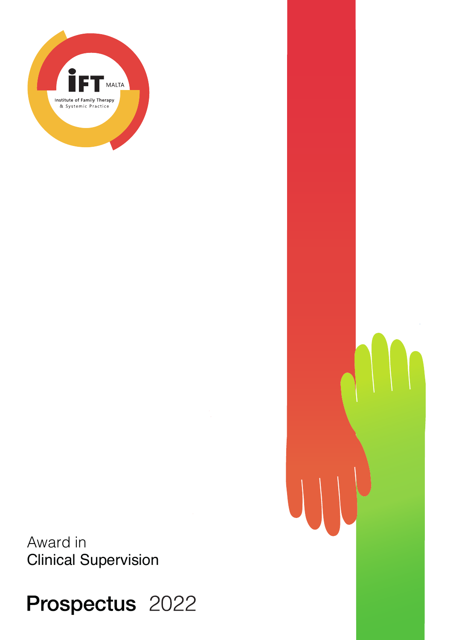

Award in Clinical Supervision

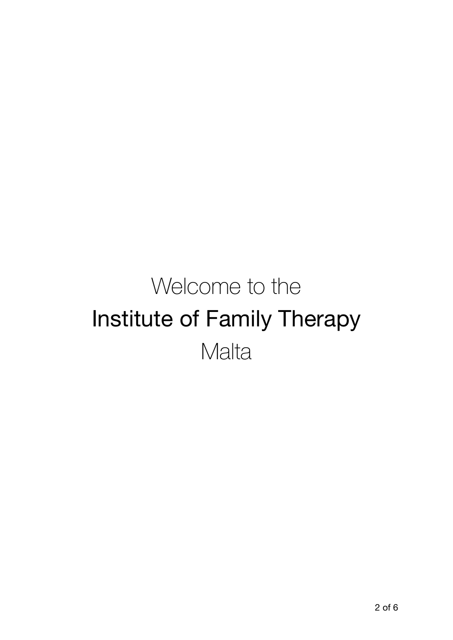# Welcome to the Institute of Family Therapy **Malta**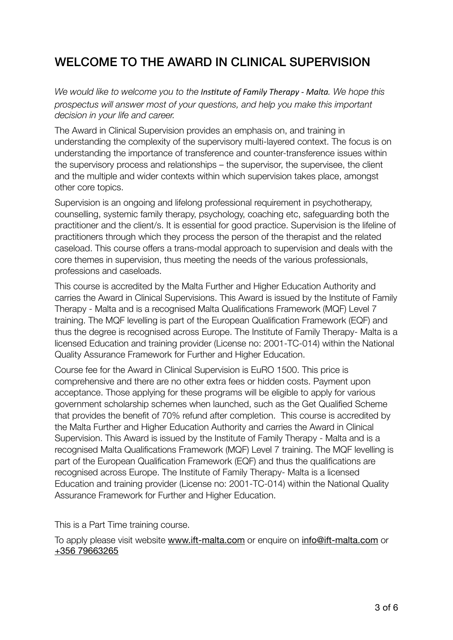#### WELCOME TO THE AWARD IN CLINICAL SUPERVISION

*We would like to welcome you to the Institute of Family Therapy - Malta. We hope this prospectus will answer most of your questions, and help you make this important decision in your life and career.*

The Award in Clinical Supervision provides an emphasis on, and training in understanding the complexity of the supervisory multi-layered context. The focus is on understanding the importance of transference and counter-transference issues within the supervisory process and relationships – the supervisor, the supervisee, the client and the multiple and wider contexts within which supervision takes place, amongst other core topics.

Supervision is an ongoing and lifelong professional requirement in psychotherapy, counselling, systemic family therapy, psychology, coaching etc, safeguarding both the practitioner and the client/s. It is essential for good practice. Supervision is the lifeline of practitioners through which they process the person of the therapist and the related caseload. This course offers a trans-modal approach to supervision and deals with the core themes in supervision, thus meeting the needs of the various professionals, professions and caseloads.

This course is accredited by the Malta Further and Higher Education Authority and carries the Award in Clinical Supervisions. This Award is issued by the Institute of Family Therapy - Malta and is a recognised Malta Qualifications Framework (MQF) Level 7 training. The MQF levelling is part of the European Qualification Framework (EQF) and thus the degree is recognised across Europe. The Institute of Family Therapy- Malta is a licensed Education and training provider (License no: 2001-TC-014) within the National Quality Assurance Framework for Further and Higher Education.

Course fee for the Award in Clinical Supervision is EuRO 1500. This price is comprehensive and there are no other extra fees or hidden costs. Payment upon acceptance. Those applying for these programs will be eligible to apply for various government scholarship schemes when launched, such as the Get Qualified Scheme that provides the benefit of 70% refund after completion. This course is accredited by the Malta Further and Higher Education Authority and carries the Award in Clinical Supervision. This Award is issued by the Institute of Family Therapy - Malta and is a recognised Malta Qualifications Framework (MQF) Level 7 training. The MQF levelling is part of the European Qualification Framework (EQF) and thus the qualifications are recognised across Europe. The Institute of Family Therapy- Malta is a licensed Education and training provider (License no: 2001-TC-014) within the National Quality Assurance Framework for Further and Higher Education.

This is a Part Time training course.

To apply please visit website [www.ift-malta.com](http://www.ift-malta.com/) or enquire on info@[ift-malta.com](http://ift-malta.com/) or +356 79663265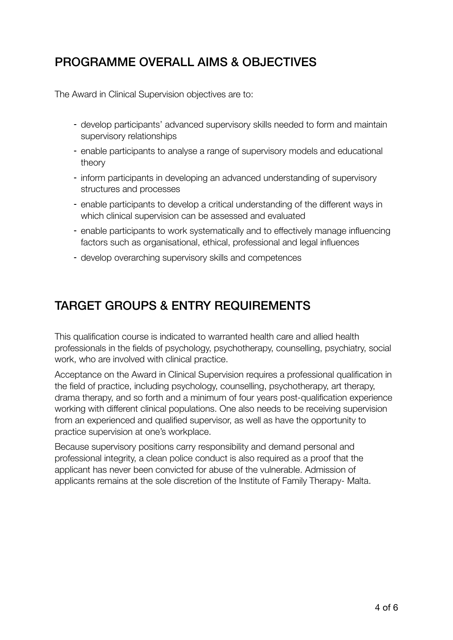#### PROGRAMME OVERALL AIMS & OBJECTIVES

The Award in Clinical Supervision objectives are to:

- develop participants' advanced supervisory skills needed to form and maintain supervisory relationships
- enable participants to analyse a range of supervisory models and educational theory
- inform participants in developing an advanced understanding of supervisory structures and processes
- enable participants to develop a critical understanding of the different ways in which clinical supervision can be assessed and evaluated
- enable participants to work systematically and to effectively manage influencing factors such as organisational, ethical, professional and legal influences
- develop overarching supervisory skills and competences

## TARGET GROUPS & ENTRY REQUIREMENTS

This qualification course is indicated to warranted health care and allied health professionals in the fields of psychology, psychotherapy, counselling, psychiatry, social work, who are involved with clinical practice.

Acceptance on the Award in Clinical Supervision requires a professional qualification in the field of practice, including psychology, counselling, psychotherapy, art therapy, drama therapy, and so forth and a minimum of four years post-qualification experience working with different clinical populations. One also needs to be receiving supervision from an experienced and qualified supervisor, as well as have the opportunity to practice supervision at one's workplace.

Because supervisory positions carry responsibility and demand personal and professional integrity, a clean police conduct is also required as a proof that the applicant has never been convicted for abuse of the vulnerable. Admission of applicants remains at the sole discretion of the Institute of Family Therapy- Malta.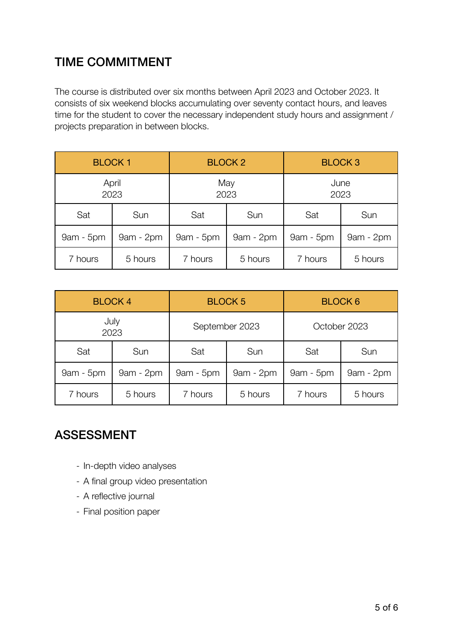## TIME COMMITMENT

The course is distributed over six months between April 2023 and October 2023. It consists of six weekend blocks accumulating over seventy contact hours, and leaves time for the student to cover the necessary independent study hours and assignment / projects preparation in between blocks.

| <b>BLOCK1</b> |           | <b>BLOCK 2</b> |           | <b>BLOCK3</b> |           |
|---------------|-----------|----------------|-----------|---------------|-----------|
| April<br>2023 |           | May<br>2023    |           | June<br>2023  |           |
| Sat           | Sun       | Sat            | Sun       | Sat           | Sun       |
| 9am - 5pm     | 9am - 2pm | 9am - 5pm      | 9am - 2pm | 9am - 5pm     | 9am - 2pm |
| 7 hours       | 5 hours   | 7 hours        | 5 hours   | 7 hours       | 5 hours   |

| <b>BLOCK4</b> |           | <b>BLOCK 5</b> |             | <b>BLOCK 6</b> |             |
|---------------|-----------|----------------|-------------|----------------|-------------|
| July<br>2023  |           | September 2023 |             | October 2023   |             |
| Sat           | Sun       | Sat            | Sun         | Sat            | Sun         |
| $9am - 5pm$   | 9am - 2pm | $9am - 5pm$    | $9am - 2pm$ | 9am - 5pm      | $9am - 2pm$ |
| 7 hours       | 5 hours   | 7 hours        | 5 hours     | 7 hours        | 5 hours     |

#### ASSESSMENT

- In-depth video analyses
- A final group video presentation
- A reflective journal
- Final position paper